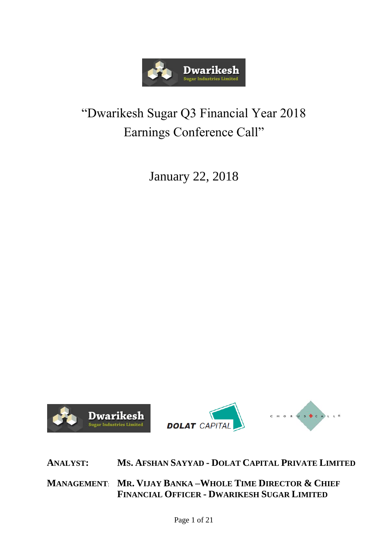

## "Dwarikesh Sugar Q3 Financial Year 2018 Earnings Conference Call"

January 22, 2018



**ANALYST: MS. AFSHAN SAYYAD - DOLAT CAPITAL PRIVATE LIMITED**

**MANAGEMENT**: **MR. VIJAY BANKA –WHOLE TIME DIRECTOR & CHIEF FINANCIAL OFFICER - DWARIKESH SUGAR LIMITED**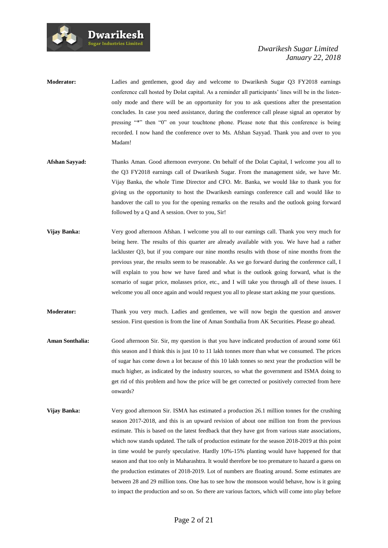

| <b>Moderator:</b> | Ladies and gentlemen, good day and welcome to Dwarikesh Sugar Q3 FY2018 earnings                      |
|-------------------|-------------------------------------------------------------------------------------------------------|
|                   | conference call hosted by Dolat capital. As a reminder all participants' lines will be in the listen- |
|                   | only mode and there will be an opportunity for you to ask questions after the presentation            |
|                   | concludes. In case you need assistance, during the conference call please signal an operator by       |
|                   | pressing "*" then "0" on your touchtone phone. Please note that this conference is being              |
|                   | recorded. I now hand the conference over to Ms. Afshan Sayyad. Thank you and over to you              |
|                   | Madam!                                                                                                |
|                   |                                                                                                       |

**Dwarikesh** .<br>Sugar Industries Limited

- **Afshan Sayyad:** Thanks Aman. Good afternoon everyone. On behalf of the Dolat Capital, I welcome you all to the Q3 FY2018 earnings call of Dwarikesh Sugar. From the management side, we have Mr. Vijay Banka, the whole Time Director and CFO. Mr. Banka, we would like to thank you for giving us the opportunity to host the Dwarikesh earnings conference call and would like to handover the call to you for the opening remarks on the results and the outlook going forward followed by a Q and A session. Over to you, Sir!
- **Vijay Banka:** Very good afternoon Afshan. I welcome you all to our earnings call. Thank you very much for being here. The results of this quarter are already available with you. We have had a rather lackluster Q3, but if you compare our nine months results with those of nine months from the previous year, the results seem to be reasonable. As we go forward during the conference call, I will explain to you how we have fared and what is the outlook going forward, what is the scenario of sugar price, molasses price, etc., and I will take you through all of these issues. I welcome you all once again and would request you all to please start asking me your questions.
- **Moderator:** Thank you very much. Ladies and gentlemen, we will now begin the question and answer session. First question is from the line of Aman Sonthalia from AK Securities. Please go ahead.
- **Aman Sonthalia:** Good afternoon Sir. Sir, my question is that you have indicated production of around some 661 this season and I think this is just 10 to 11 lakh tonnes more than what we consumed. The prices of sugar has come down a lot because of this 10 lakh tonnes so next year the production will be much higher, as indicated by the industry sources, so what the government and ISMA doing to get rid of this problem and how the price will be get corrected or positively corrected from here onwards?
- **Vijay Banka:** Very good afternoon Sir. ISMA has estimated a production 26.1 million tonnes for the crushing season 2017-2018, and this is an upward revision of about one million ton from the previous estimate. This is based on the latest feedback that they have got from various state associations, which now stands updated. The talk of production estimate for the season 2018-2019 at this point in time would be purely speculative. Hardly 10%-15% planting would have happened for that season and that too only in Maharashtra. It would therefore be too premature to hazard a guess on the production estimates of 2018-2019. Lot of numbers are floating around. Some estimates are between 28 and 29 million tons. One has to see how the monsoon would behave, how is it going to impact the production and so on. So there are various factors, which will come into play before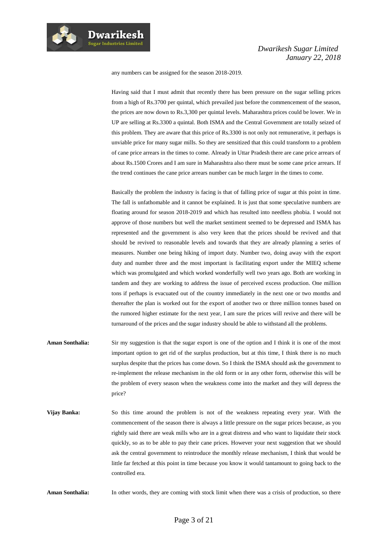any numbers can be assigned for the season 2018-2019.

**Dwarikesh Sugar Industries Limited** 

> Having said that I must admit that recently there has been pressure on the sugar selling prices from a high of Rs.3700 per quintal, which prevailed just before the commencement of the season, the prices are now down to Rs.3,300 per quintal levels. Maharashtra prices could be lower. We in UP are selling at Rs.3300 a quintal. Both ISMA and the Central Government are totally seized of this problem. They are aware that this price of Rs.3300 is not only not remunerative, it perhaps is unviable price for many sugar mills. So they are sensitized that this could transform to a problem of cane price arrears in the times to come. Already in Uttar Pradesh there are cane price arrears of about Rs.1500 Crores and I am sure in Maharashtra also there must be some cane price arrears. If the trend continues the cane price arrears number can be much larger in the times to come.

> Basically the problem the industry is facing is that of falling price of sugar at this point in time. The fall is unfathomable and it cannot be explained. It is just that some speculative numbers are floating around for season 2018-2019 and which has resulted into needless phobia. I would not approve of those numbers but well the market sentiment seemed to be depressed and ISMA has represented and the government is also very keen that the prices should be revived and that should be revived to reasonable levels and towards that they are already planning a series of measures. Number one being hiking of import duty. Number two, doing away with the export duty and number three and the most important is facilitating export under the MIEQ scheme which was promulgated and which worked wonderfully well two years ago. Both are working in tandem and they are working to address the issue of perceived excess production. One million tons if perhaps is evacuated out of the country immediately in the next one or two months and thereafter the plan is worked out for the export of another two or three million tonnes based on the rumored higher estimate for the next year, I am sure the prices will revive and there will be turnaround of the prices and the sugar industry should be able to withstand all the problems.

- **Aman Sonthalia:** Sir my suggestion is that the sugar export is one of the option and I think it is one of the most important option to get rid of the surplus production, but at this time, I think there is no much surplus despite that the prices has come down. So I think the ISMA should ask the government to re-implement the release mechanism in the old form or in any other form, otherwise this will be the problem of every season when the weakness come into the market and they will depress the price?
- **Vijay Banka:** So this time around the problem is not of the weakness repeating every year. With the commencement of the season there is always a little pressure on the sugar prices because, as you rightly said there are weak mills who are in a great distress and who want to liquidate their stock quickly, so as to be able to pay their cane prices. However your next suggestion that we should ask the central government to reintroduce the monthly release mechanism, I think that would be little far fetched at this point in time because you know it would tantamount to going back to the controlled era.

Aman Sonthalia: In other words, they are coming with stock limit when there was a crisis of production, so there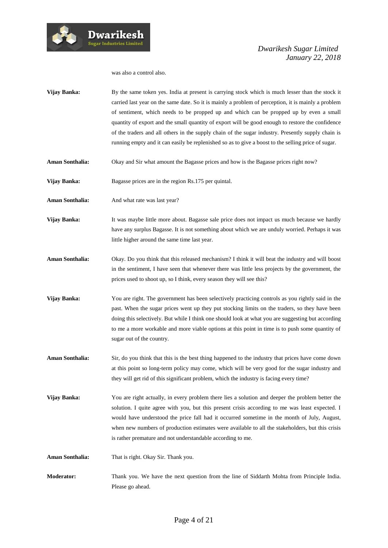

#### was also a control also.

**Vijay Banka:** By the same token yes. India at present is carrying stock which is much lesser than the stock it carried last year on the same date. So it is mainly a problem of perception, it is mainly a problem of sentiment, which needs to be propped up and which can be propped up by even a small quantity of export and the small quantity of export will be good enough to restore the confidence of the traders and all others in the supply chain of the sugar industry. Presently supply chain is running empty and it can easily be replenished so as to give a boost to the selling price of sugar.

**Aman Sonthalia:** Okay and Sir what amount the Bagasse prices and how is the Bagasse prices right now?

Vijay Banka: Bagasse prices are in the region Rs.175 per quintal.

Aman Sonthalia: And what rate was last year?

- **Vijay Banka:** It was maybe little more about. Bagasse sale price does not impact us much because we hardly have any surplus Bagasse. It is not something about which we are unduly worried. Perhaps it was little higher around the same time last year.
- **Aman Sonthalia:** Okay. Do you think that this released mechanism? I think it will beat the industry and will boost in the sentiment, I have seen that whenever there was little less projects by the government, the prices used to shoot up, so I think, every season they will see this?
- **Vijay Banka:** You are right. The government has been selectively practicing controls as you rightly said in the past. When the sugar prices went up they put stocking limits on the traders, so they have been doing this selectively. But while I think one should look at what you are suggesting but according to me a more workable and more viable options at this point in time is to push some quantity of sugar out of the country.
- **Aman Sonthalia:** Sir, do you think that this is the best thing happened to the industry that prices have come down at this point so long-term policy may come, which will be very good for the sugar industry and they will get rid of this significant problem, which the industry is facing every time?
- **Vijay Banka:** You are right actually, in every problem there lies a solution and deeper the problem better the solution. I quite agree with you, but this present crisis according to me was least expected. I would have understood the price fall had it occurred sometime in the month of July, August, when new numbers of production estimates were available to all the stakeholders, but this crisis is rather premature and not understandable according to me.

**Aman Sonthalia:** That is right. Okay Sir. Thank you.

**Moderator:** Thank you. We have the next question from the line of Siddarth Mohta from Principle India. Please go ahead.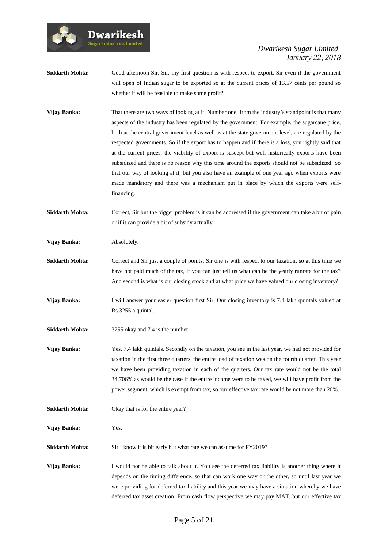**Siddarth Mohta:** Good afternoon Sir. Sir, my first question is with respect to export. Sir even if the government will open of Indian sugar to be exported so at the current prices of 13.57 cents per pound so whether it will be feasible to make some profit?

**Vijay Banka:** That there are two ways of looking at it. Number one, from the industry's standpoint is that many aspects of the industry has been regulated by the government. For example, the sugarcane price, both at the central government level as well as at the state government level, are regulated by the respected governments. So if the export has to happen and if there is a loss, you rightly said that at the current prices, the viability of export is suscept but well historically exports have been subsidized and there is no reason why this time around the exports should not be subsidized. So that our way of looking at it, but you also have an example of one year ago when exports were made mandatory and there was a mechanism put in place by which the exports were selffinancing.

**Siddarth Mohta:** Correct, Sir but the bigger problem is it can be addressed if the government can take a bit of pain or if it can provide a bit of subsidy actually.

**Vijay Banka:** Absolutely.

- **Siddarth Mohta:** Correct and Sir just a couple of points. Sir one is with respect to our taxation, so at this time we have not paid much of the tax, if you can just tell us what can be the yearly runrate for the tax? And second is what is our closing stock and at what price we have valued our closing inventory?
- **Vijay Banka:** I will answer your easier question first Sir. Our closing inventory is 7.4 lakh quintals valued at Rs.3255 a quintal.
- **Siddarth Mohta:** 3255 okay and 7.4 is the number.

**Dwarikesh** .<br>Sugar Industries Limited

**Vijay Banka:** Yes, 7.4 lakh quintals. Secondly on the taxation, you see in the last year, we had not provided for taxation in the first three quarters, the entire load of taxation was on the fourth quarter. This year we have been providing taxation in each of the quarters. Our tax rate would not be the total 34.706% as would be the case if the entire income were to be taxed, we will have profit from the power segment, which is exempt from tax, so our effective tax rate would be not more than 20%.

**Siddarth Mohta:** Okay that is for the entire year?

**Vijay Banka:** Yes.

**Siddarth Mohta:** Sir I know it is bit early but what rate we can assume for FY2019?

**Vijay Banka:** I would not be able to talk about it. You see the deferred tax liability is another thing where it depends on the timing difference, so that can work one way or the other, so until last year we were providing for deferred tax liability and this year we may have a situation whereby we have deferred tax asset creation. From cash flow perspective we may pay MAT, but our effective tax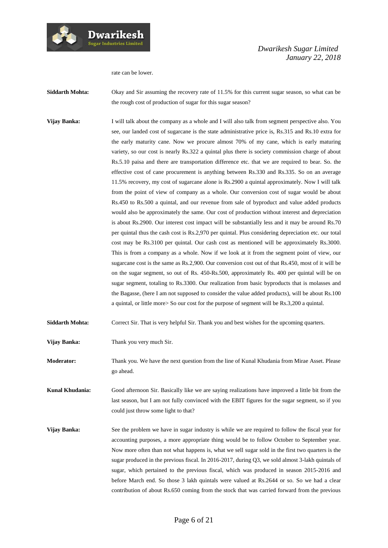rate can be lower.

- **Siddarth Mohta:** Okay and Sir assuming the recovery rate of 11.5% for this current sugar season, so what can be the rough cost of production of sugar for this sugar season?
- **Vijay Banka:** I will talk about the company as a whole and I will also talk from segment perspective also. You see, our landed cost of sugarcane is the state administrative price is, Rs.315 and Rs.10 extra for the early maturity cane. Now we procure almost 70% of my cane, which is early maturing variety, so our cost is nearly Rs.322 a quintal plus there is society commission charge of about Rs.5.10 paisa and there are transportation difference etc. that we are required to bear. So. the effective cost of cane procurement is anything between Rs.330 and Rs.335. So on an average 11.5% recovery, my cost of sugarcane alone is Rs.2900 a quintal approximately. Now I will talk from the point of view of company as a whole. Our conversion cost of sugar would be about Rs.450 to Rs.500 a quintal, and our revenue from sale of byproduct and value added products would also be approximately the same. Our cost of production without interest and depreciation is about Rs.2900. Our interest cost impact will be substantially less and it may be around Rs.70 per quintal thus the cash cost is Rs.2,970 per quintal. Plus considering depreciation etc. our total cost may be Rs.3100 per quintal. Our cash cost as mentioned will be approximately Rs.3000. This is from a company as a whole. Now if we look at it from the segment point of view, our sugarcane cost is the same as Rs.2,900. Our conversion cost out of that Rs.450, most of it will be on the sugar segment, so out of Rs. 450-Rs.500, approximately Rs. 400 per quintal will be on sugar segment, totaling to Rs.3300. Our realization from basic byproducts that is molasses and the Bagasse, (here I am not supposed to consider the value added products), will be about Rs.100 a quintal, or little more> So our cost for the purpose of segment will be Rs.3,200 a quintal.
- **Siddarth Mohta:** Correct Sir. That is very helpful Sir. Thank you and best wishes for the upcoming quarters.
- **Vijay Banka:** Thank you very much Sir.

**Moderator:** Thank you. We have the next question from the line of Kunal Khudania from Mirae Asset. Please go ahead.

**Kunal Khudania:** Good afternoon Sir. Basically like we are saying realizations have improved a little bit from the last season, but I am not fully convinced with the EBIT figures for the sugar segment, so if you could just throw some light to that?

**Vijay Banka:** See the problem we have in sugar industry is while we are required to follow the fiscal year for accounting purposes, a more appropriate thing would be to follow October to September year. Now more often than not what happens is, what we sell sugar sold in the first two quarters is the sugar produced in the previous fiscal. In 2016-2017, during Q3, we sold almost 3-lakh quintals of sugar, which pertained to the previous fiscal, which was produced in season 2015-2016 and before March end. So those 3 lakh quintals were valued at Rs.2644 or so. So we had a clear contribution of about Rs.650 coming from the stock that was carried forward from the previous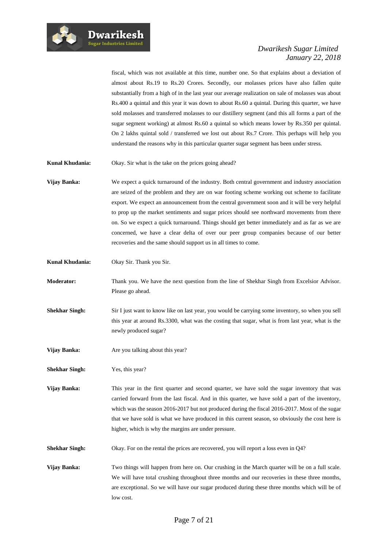

fiscal, which was not available at this time, number one. So that explains about a deviation of almost about Rs.19 to Rs.20 Crores. Secondly, our molasses prices have also fallen quite substantially from a high of in the last year our average realization on sale of molasses was about Rs.400 a quintal and this year it was down to about Rs.60 a quintal. During this quarter, we have sold molasses and transferred molasses to our distillery segment (and this all forms a part of the sugar segment working) at almost Rs.60 a quintal so which means lower by Rs.350 per quintal. On 2 lakhs quintal sold / transferred we lost out about Rs.7 Crore. This perhaps will help you understand the reasons why in this particular quarter sugar segment has been under stress.

**Kunal Khudania:** Okay. Sir what is the take on the prices going ahead?

**Vijay Banka:** We expect a quick turnaround of the industry. Both central government and industry association are seized of the problem and they are on war footing scheme working out scheme to facilitate export. We expect an announcement from the central government soon and it will be very helpful to prop up the market sentiments and sugar prices should see northward movements from there on. So we expect a quick turnaround. Things should get better immediately and as far as we are concerned, we have a clear delta of over our peer group companies because of our better recoveries and the same should support us in all times to come.

**Kunal Khudania:** Okay Sir. Thank you Sir.

**Moderator:** Thank you. We have the next question from the line of Shekhar Singh from Excelsior Advisor. Please go ahead.

**Shekhar Singh:** Sir I just want to know like on last year, you would be carrying some inventory, so when you sell this year at around Rs.3300, what was the costing that sugar, what is from last year, what is the newly produced sugar?

**Vijay Banka:** Are you talking about this year?

**Shekhar Singh:** Yes, this year?

**Vijay Banka:** This year in the first quarter and second quarter, we have sold the sugar inventory that was carried forward from the last fiscal. And in this quarter, we have sold a part of the inventory, which was the season 2016-2017 but not produced during the fiscal 2016-2017. Most of the sugar that we have sold is what we have produced in this current season, so obviously the cost here is higher, which is why the margins are under pressure.

**Shekhar Singh:** Okay. For on the rental the prices are recovered, you will report a loss even in Q4?

**Vijay Banka:** Two things will happen from here on. Our crushing in the March quarter will be on a full scale. We will have total crushing throughout three months and our recoveries in these three months, are exceptional. So we will have our sugar produced during these three months which will be of low cost.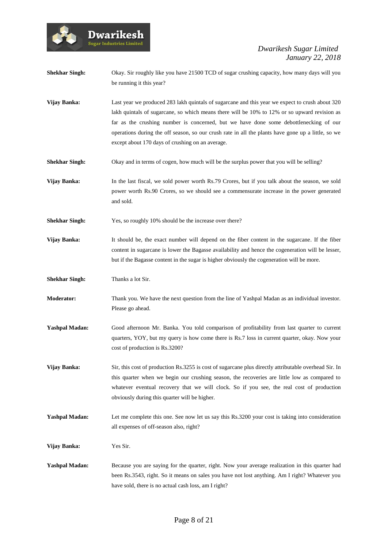

**Shekhar Singh:** Okay. Sir roughly like you have 21500 TCD of sugar crushing capacity, how many days will you be running it this year?

- **Vijay Banka:** Last year we produced 283 lakh quintals of sugarcane and this year we expect to crush about 320 lakh quintals of sugarcane, so which means there will be 10% to 12% or so upward revision as far as the crushing number is concerned, but we have done some debottlenecking of our operations during the off season, so our crush rate in all the plants have gone up a little, so we except about 170 days of crushing on an average.
- **Shekhar Singh:** Okay and in terms of cogen, how much will be the surplus power that you will be selling?
- **Vijay Banka:** In the last fiscal, we sold power worth Rs.79 Crores, but if you talk about the season, we sold power worth Rs.90 Crores, so we should see a commensurate increase in the power generated and sold.
- **Shekhar Singh:** Yes, so roughly 10% should be the increase over there?
- **Vijay Banka:** It should be, the exact number will depend on the fiber content in the sugarcane. If the fiber content in sugarcane is lower the Bagasse availability and hence the cogeneration will be lesser, but if the Bagasse content in the sugar is higher obviously the cogeneration will be more.
- **Shekhar Singh:** Thanks a lot Sir.
- **Moderator:** Thank you. We have the next question from the line of Yashpal Madan as an individual investor. Please go ahead.
- **Yashpal Madan:** Good afternoon Mr. Banka. You told comparison of profitability from last quarter to current quarters, YOY, but my query is how come there is Rs.7 loss in current quarter, okay. Now your cost of production is Rs.3200?
- **Vijay Banka:** Sir, this cost of production Rs.3255 is cost of sugarcane plus directly attributable overhead Sir. In this quarter when we begin our crushing season, the recoveries are little low as compared to whatever eventual recovery that we will clock. So if you see, the real cost of production obviously during this quarter will be higher.
- **Yashpal Madan:** Let me complete this one. See now let us say this Rs.3200 your cost is taking into consideration all expenses of off-season also, right?

**Vijay Banka:** Yes Sir.

**Yashpal Madan:** Because you are saying for the quarter, right. Now your average realization in this quarter had been Rs.3543, right. So it means on sales you have not lost anything. Am I right? Whatever you have sold, there is no actual cash loss, am I right?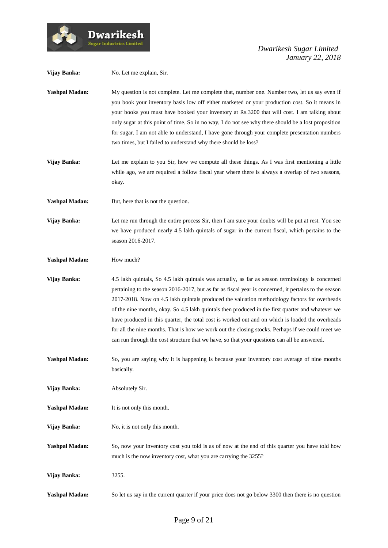

| Vijay Banka:          | No. Let me explain, Sir.                                                                                                                                                                                                                                                                                                                                                                                                                                                                                                                                                                                                                                                                                              |
|-----------------------|-----------------------------------------------------------------------------------------------------------------------------------------------------------------------------------------------------------------------------------------------------------------------------------------------------------------------------------------------------------------------------------------------------------------------------------------------------------------------------------------------------------------------------------------------------------------------------------------------------------------------------------------------------------------------------------------------------------------------|
| <b>Yashpal Madan:</b> | My question is not complete. Let me complete that, number one. Number two, let us say even if<br>you book your inventory basis low off either marketed or your production cost. So it means in<br>your books you must have booked your inventory at Rs.3200 that will cost. I am talking about<br>only sugar at this point of time. So in no way, I do not see why there should be a lost proposition<br>for sugar. I am not able to understand, I have gone through your complete presentation numbers<br>two times, but I failed to understand why there should be loss?                                                                                                                                            |
| Vijay Banka:          | Let me explain to you Sir, how we compute all these things. As I was first mentioning a little<br>while ago, we are required a follow fiscal year where there is always a overlap of two seasons,<br>okay.                                                                                                                                                                                                                                                                                                                                                                                                                                                                                                            |
| <b>Yashpal Madan:</b> | But, here that is not the question.                                                                                                                                                                                                                                                                                                                                                                                                                                                                                                                                                                                                                                                                                   |
| Vijay Banka:          | Let me run through the entire process Sir, then I am sure your doubts will be put at rest. You see<br>we have produced nearly 4.5 lakh quintals of sugar in the current fiscal, which pertains to the<br>season 2016-2017.                                                                                                                                                                                                                                                                                                                                                                                                                                                                                            |
| <b>Yashpal Madan:</b> | How much?                                                                                                                                                                                                                                                                                                                                                                                                                                                                                                                                                                                                                                                                                                             |
| Vijay Banka:          | 4.5 lakh quintals, So 4.5 lakh quintals was actually, as far as season terminology is concerned<br>pertaining to the season 2016-2017, but as far as fiscal year is concerned, it pertains to the season<br>2017-2018. Now on 4.5 lakh quintals produced the valuation methodology factors for overheads<br>of the nine months, okay. So 4.5 lakh quintals then produced in the first quarter and whatever we<br>have produced in this quarter, the total cost is worked out and on which is loaded the overheads<br>for all the nine months. That is how we work out the closing stocks. Perhaps if we could meet we<br>can run through the cost structure that we have, so that your questions can all be answered. |
| <b>Yashpal Madan:</b> | So, you are saying why it is happening is because your inventory cost average of nine months<br>basically.                                                                                                                                                                                                                                                                                                                                                                                                                                                                                                                                                                                                            |
| Vijay Banka:          | Absolutely Sir.                                                                                                                                                                                                                                                                                                                                                                                                                                                                                                                                                                                                                                                                                                       |
| <b>Yashpal Madan:</b> | It is not only this month.                                                                                                                                                                                                                                                                                                                                                                                                                                                                                                                                                                                                                                                                                            |
| Vijay Banka:          | No, it is not only this month.                                                                                                                                                                                                                                                                                                                                                                                                                                                                                                                                                                                                                                                                                        |
| <b>Yashpal Madan:</b> | So, now your inventory cost you told is as of now at the end of this quarter you have told how<br>much is the now inventory cost, what you are carrying the 3255?                                                                                                                                                                                                                                                                                                                                                                                                                                                                                                                                                     |
| Vijay Banka:          | 3255.                                                                                                                                                                                                                                                                                                                                                                                                                                                                                                                                                                                                                                                                                                                 |
| <b>Yashpal Madan:</b> | So let us say in the current quarter if your price does not go below 3300 then there is no question                                                                                                                                                                                                                                                                                                                                                                                                                                                                                                                                                                                                                   |

 $\boldsymbol{\operatorname{Dwarikesh}}$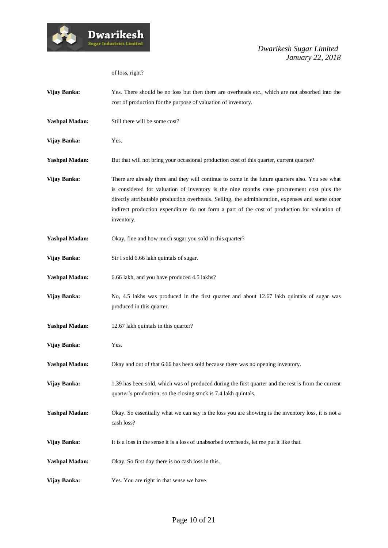

of loss, right?

| Vijay Banka:          | Yes. There should be no loss but then there are overheads etc., which are not absorbed into the<br>cost of production for the purpose of valuation of inventory.                                                                                                                                                                                                                                                  |
|-----------------------|-------------------------------------------------------------------------------------------------------------------------------------------------------------------------------------------------------------------------------------------------------------------------------------------------------------------------------------------------------------------------------------------------------------------|
| <b>Yashpal Madan:</b> | Still there will be some cost?                                                                                                                                                                                                                                                                                                                                                                                    |
| Vijay Banka:          | Yes.                                                                                                                                                                                                                                                                                                                                                                                                              |
| <b>Yashpal Madan:</b> | But that will not bring your occasional production cost of this quarter, current quarter?                                                                                                                                                                                                                                                                                                                         |
| Vijay Banka:          | There are already there and they will continue to come in the future quarters also. You see what<br>is considered for valuation of inventory is the nine months cane procurement cost plus the<br>directly attributable production overheads. Selling, the administration, expenses and some other<br>indirect production expenditure do not form a part of the cost of production for valuation of<br>inventory. |
| <b>Yashpal Madan:</b> | Okay, fine and how much sugar you sold in this quarter?                                                                                                                                                                                                                                                                                                                                                           |
| Vijay Banka:          | Sir I sold 6.66 lakh quintals of sugar.                                                                                                                                                                                                                                                                                                                                                                           |
| <b>Yashpal Madan:</b> | 6.66 lakh, and you have produced 4.5 lakhs?                                                                                                                                                                                                                                                                                                                                                                       |
| Vijay Banka:          | No, 4.5 lakhs was produced in the first quarter and about 12.67 lakh quintals of sugar was<br>produced in this quarter.                                                                                                                                                                                                                                                                                           |
| <b>Yashpal Madan:</b> | 12.67 lakh quintals in this quarter?                                                                                                                                                                                                                                                                                                                                                                              |
| Vijay Banka:          | Yes.                                                                                                                                                                                                                                                                                                                                                                                                              |
| <b>Yashpal Madan:</b> | Okay and out of that 6.66 has been sold because there was no opening inventory.                                                                                                                                                                                                                                                                                                                                   |
| Vijay Banka:          | 1.39 has been sold, which was of produced during the first quarter and the rest is from the current<br>quarter's production, so the closing stock is 7.4 lakh quintals.                                                                                                                                                                                                                                           |
| <b>Yashpal Madan:</b> | Okay. So essentially what we can say is the loss you are showing is the inventory loss, it is not a<br>cash loss?                                                                                                                                                                                                                                                                                                 |
| Vijay Banka:          | It is a loss in the sense it is a loss of unabsorbed overheads, let me put it like that.                                                                                                                                                                                                                                                                                                                          |
| <b>Yashpal Madan:</b> | Okay. So first day there is no cash loss in this.                                                                                                                                                                                                                                                                                                                                                                 |
| Vijay Banka:          | Yes. You are right in that sense we have.                                                                                                                                                                                                                                                                                                                                                                         |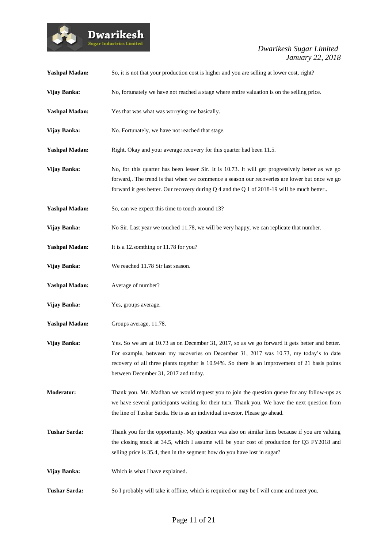

| <b>Yashpal Madan:</b> | So, it is not that your production cost is higher and you are selling at lower cost, right?                                                                                                                                                                                                                                        |
|-----------------------|------------------------------------------------------------------------------------------------------------------------------------------------------------------------------------------------------------------------------------------------------------------------------------------------------------------------------------|
| Vijay Banka:          | No, fortunately we have not reached a stage where entire valuation is on the selling price.                                                                                                                                                                                                                                        |
| <b>Yashpal Madan:</b> | Yes that was what was worrying me basically.                                                                                                                                                                                                                                                                                       |
| Vijay Banka:          | No. Fortunately, we have not reached that stage.                                                                                                                                                                                                                                                                                   |
| <b>Yashpal Madan:</b> | Right. Okay and your average recovery for this quarter had been 11.5.                                                                                                                                                                                                                                                              |
| Vijay Banka:          | No, for this quarter has been lesser Sir. It is 10.73. It will get progressively better as we go<br>forward,. The trend is that when we commence a season our recoveries are lower but once we go<br>forward it gets better. Our recovery during $Q$ 4 and the $Q$ 1 of 2018-19 will be much better                                |
| <b>Yashpal Madan:</b> | So, can we expect this time to touch around 13?                                                                                                                                                                                                                                                                                    |
| Vijay Banka:          | No Sir. Last year we touched 11.78, we will be very happy, we can replicate that number.                                                                                                                                                                                                                                           |
| <b>Yashpal Madan:</b> | It is a 12.somthing or 11.78 for you?                                                                                                                                                                                                                                                                                              |
| Vijay Banka:          | We reached 11.78 Sir last season.                                                                                                                                                                                                                                                                                                  |
| <b>Yashpal Madan:</b> | Average of number?                                                                                                                                                                                                                                                                                                                 |
| Vijay Banka:          | Yes, groups average.                                                                                                                                                                                                                                                                                                               |
| <b>Yashpal Madan:</b> | Groups average, 11.78.                                                                                                                                                                                                                                                                                                             |
| Vijay Banka:          | Yes. So we are at 10.73 as on December 31, 2017, so as we go forward it gets better and better.<br>For example, between my recoveries on December 31, 2017 was 10.73, my today's to date<br>recovery of all three plants together is 10.94%. So there is an improvement of 21 basis points<br>between December 31, 2017 and today. |
| <b>Moderator:</b>     | Thank you. Mr. Madhan we would request you to join the question queue for any follow-ups as<br>we have several participants waiting for their turn. Thank you. We have the next question from<br>the line of Tushar Sarda. He is as an individual investor. Please go ahead.                                                       |
| <b>Tushar Sarda:</b>  | Thank you for the opportunity. My question was also on similar lines because if you are valuing<br>the closing stock at 34.5, which I assume will be your cost of production for Q3 FY2018 and<br>selling price is 35.4, then in the segment how do you have lost in sugar?                                                        |
| Vijay Banka:          | Which is what I have explained.                                                                                                                                                                                                                                                                                                    |
| <b>Tushar Sarda:</b>  | So I probably will take it offline, which is required or may be I will come and meet you.                                                                                                                                                                                                                                          |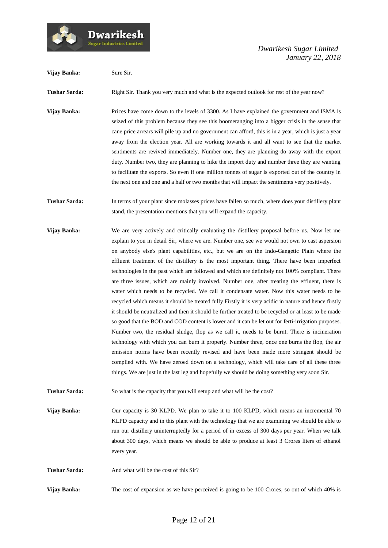

Dwarikesh

| Vijay Banka:         | Sure Sir.                                                                                                                                                                                                                                                                                                                                                                                                                                                                                                                                                                                                                                                                                                                                                                                                                                                                                                                                                                                                                                                                                                                                                                                                                                                                                                                                                                                                                                                                                                        |
|----------------------|------------------------------------------------------------------------------------------------------------------------------------------------------------------------------------------------------------------------------------------------------------------------------------------------------------------------------------------------------------------------------------------------------------------------------------------------------------------------------------------------------------------------------------------------------------------------------------------------------------------------------------------------------------------------------------------------------------------------------------------------------------------------------------------------------------------------------------------------------------------------------------------------------------------------------------------------------------------------------------------------------------------------------------------------------------------------------------------------------------------------------------------------------------------------------------------------------------------------------------------------------------------------------------------------------------------------------------------------------------------------------------------------------------------------------------------------------------------------------------------------------------------|
| <b>Tushar Sarda:</b> | Right Sir. Thank you very much and what is the expected outlook for rest of the year now?                                                                                                                                                                                                                                                                                                                                                                                                                                                                                                                                                                                                                                                                                                                                                                                                                                                                                                                                                                                                                                                                                                                                                                                                                                                                                                                                                                                                                        |
| Vijay Banka:         | Prices have come down to the levels of 3300. As I have explained the government and ISMA is<br>seized of this problem because they see this boomeranging into a bigger crisis in the sense that<br>cane price arrears will pile up and no government can afford, this is in a year, which is just a year<br>away from the election year. All are working towards it and all want to see that the market<br>sentiments are revived immediately. Number one, they are planning do away with the export<br>duty. Number two, they are planning to hike the import duty and number three they are wanting<br>to facilitate the exports. So even if one million tonnes of sugar is exported out of the country in<br>the next one and one and a half or two months that will impact the sentiments very positively.                                                                                                                                                                                                                                                                                                                                                                                                                                                                                                                                                                                                                                                                                                   |
| <b>Tushar Sarda:</b> | In terms of your plant since molasses prices have fallen so much, where does your distillery plant<br>stand, the presentation mentions that you will expand the capacity.                                                                                                                                                                                                                                                                                                                                                                                                                                                                                                                                                                                                                                                                                                                                                                                                                                                                                                                                                                                                                                                                                                                                                                                                                                                                                                                                        |
| Vijay Banka:         | We are very actively and critically evaluating the distillery proposal before us. Now let me<br>explain to you in detail Sir, where we are. Number one, see we would not own to cast aspersion<br>on anybody else's plant capabilities, etc., but we are on the Indo-Gangetic Plain where the<br>effluent treatment of the distillery is the most important thing. There have been imperfect<br>technologies in the past which are followed and which are definitely not 100% compliant. There<br>are three issues, which are mainly involved. Number one, after treating the effluent, there is<br>water which needs to be recycled. We call it condensate water. Now this water needs to be<br>recycled which means it should be treated fully Firstly it is very acidic in nature and hence firstly<br>it should be neutralized and then it should be further treated to be recycled or at least to be made<br>so good that the BOD and COD content is lower and it can be let out for ferti-irrigation purposes.<br>Number two, the residual sludge, flop as we call it, needs to be burnt. There is incineration<br>technology with which you can burn it properly. Number three, once one burns the flop, the air<br>emission norms have been recently revised and have been made more stringent should be<br>complied with. We have zeroed down on a technology, which will take care of all these three<br>things. We are just in the last leg and hopefully we should be doing something very soon Sir. |
| <b>Tushar Sarda:</b> | So what is the capacity that you will setup and what will be the cost?                                                                                                                                                                                                                                                                                                                                                                                                                                                                                                                                                                                                                                                                                                                                                                                                                                                                                                                                                                                                                                                                                                                                                                                                                                                                                                                                                                                                                                           |
| Vijay Banka:         | Our capacity is 30 KLPD. We plan to take it to 100 KLPD, which means an incremental 70<br>KLPD capacity and in this plant with the technology that we are examining we should be able to<br>run our distillery uninterruptedly for a period of in excess of 300 days per year. When we talk<br>about 300 days, which means we should be able to produce at least 3 Crores liters of ethanol<br>every year.                                                                                                                                                                                                                                                                                                                                                                                                                                                                                                                                                                                                                                                                                                                                                                                                                                                                                                                                                                                                                                                                                                       |
| <b>Tushar Sarda:</b> | And what will be the cost of this Sir?                                                                                                                                                                                                                                                                                                                                                                                                                                                                                                                                                                                                                                                                                                                                                                                                                                                                                                                                                                                                                                                                                                                                                                                                                                                                                                                                                                                                                                                                           |
| Vijay Banka:         | The cost of expansion as we have perceived is going to be 100 Crores, so out of which 40% is                                                                                                                                                                                                                                                                                                                                                                                                                                                                                                                                                                                                                                                                                                                                                                                                                                                                                                                                                                                                                                                                                                                                                                                                                                                                                                                                                                                                                     |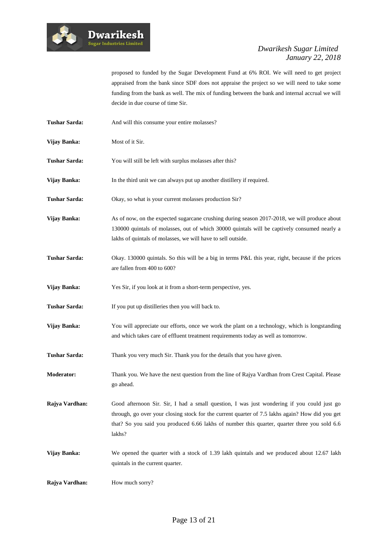

proposed to funded by the Sugar Development Fund at 6% ROI. We will need to get project appraised from the bank since SDF does not appraise the project so we will need to take some funding from the bank as well. The mix of funding between the bank and internal accrual we will decide in due course of time Sir.

- Tushar Sarda: And will this consume your entire molasses?
- **Vijay Banka:** Most of it Sir.
- **Tushar Sarda:** You will still be left with surplus molasses after this?
- **Vijay Banka:** In the third unit we can always put up another distillery if required.
- **Tushar Sarda:** Okay, so what is your current molasses production Sir?
- **Vijay Banka:** As of now, on the expected sugarcane crushing during season 2017-2018, we will produce about 130000 quintals of molasses, out of which 30000 quintals will be captively consumed nearly a lakhs of quintals of molasses, we will have to sell outside.
- **Tushar Sarda:** Okay. 130000 quintals. So this will be a big in terms P&L this year, right, because if the prices are fallen from 400 to 600?
- **Vijay Banka:** Yes Sir, if you look at it from a short-term perspective, yes.
- **Tushar Sarda:** If you put up distilleries then you will back to.
- **Vijay Banka:** You will appreciate our efforts, once we work the plant on a technology, which is longstanding and which takes care of effluent treatment requirements today as well as tomorrow.
- **Tushar Sarda:** Thank you very much Sir. Thank you for the details that you have given.
- **Moderator:** Thank you. We have the next question from the line of Rajya Vardhan from Crest Capital. Please go ahead.
- **Rajya Vardhan:** Good afternoon Sir. Sir, I had a small question, I was just wondering if you could just go through, go over your closing stock for the current quarter of 7.5 lakhs again? How did you get that? So you said you produced 6.66 lakhs of number this quarter, quarter three you sold 6.6 lakhs?
- **Vijay Banka:** We opened the quarter with a stock of 1.39 lakh quintals and we produced about 12.67 lakh quintals in the current quarter.
- **Rajya Vardhan:** How much sorry?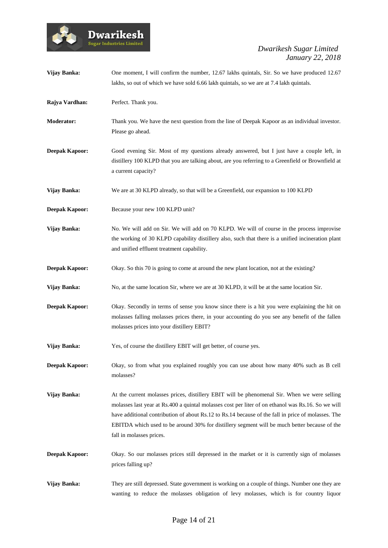# Dwarikesh

| Vijay Banka:          | One moment, I will confirm the number, 12.67 lakhs quintals, Sir. So we have produced 12.67<br>lakhs, so out of which we have sold 6.66 lakh quintals, so we are at 7.4 lakh quintals.                                                                                                                                                                                                                                               |
|-----------------------|--------------------------------------------------------------------------------------------------------------------------------------------------------------------------------------------------------------------------------------------------------------------------------------------------------------------------------------------------------------------------------------------------------------------------------------|
| Rajya Vardhan:        | Perfect. Thank you.                                                                                                                                                                                                                                                                                                                                                                                                                  |
| <b>Moderator:</b>     | Thank you. We have the next question from the line of Deepak Kapoor as an individual investor.<br>Please go ahead.                                                                                                                                                                                                                                                                                                                   |
| <b>Deepak Kapoor:</b> | Good evening Sir. Most of my questions already answered, but I just have a couple left, in<br>distillery 100 KLPD that you are talking about, are you referring to a Greenfield or Brownfield at<br>a current capacity?                                                                                                                                                                                                              |
| Vijay Banka:          | We are at 30 KLPD already, so that will be a Greenfield, our expansion to 100 KLPD                                                                                                                                                                                                                                                                                                                                                   |
| Deepak Kapoor:        | Because your new 100 KLPD unit?                                                                                                                                                                                                                                                                                                                                                                                                      |
| <b>Vijay Banka:</b>   | No. We will add on Sir. We will add on 70 KLPD. We will of course in the process improvise<br>the working of 30 KLPD capability distillery also, such that there is a unified incineration plant<br>and unified effluent treatment capability.                                                                                                                                                                                       |
| <b>Deepak Kapoor:</b> | Okay. So this 70 is going to come at around the new plant location, not at the existing?                                                                                                                                                                                                                                                                                                                                             |
| Vijay Banka:          | No, at the same location Sir, where we are at 30 KLPD, it will be at the same location Sir.                                                                                                                                                                                                                                                                                                                                          |
| <b>Deepak Kapoor:</b> | Okay. Secondly in terms of sense you know since there is a hit you were explaining the hit on<br>molasses falling molasses prices there, in your accounting do you see any benefit of the fallen<br>molasses prices into your distillery EBIT?                                                                                                                                                                                       |
| Vijay Banka:          | Yes, of course the distillery EBIT will get better, of course yes.                                                                                                                                                                                                                                                                                                                                                                   |
| <b>Deepak Kapoor:</b> | Okay, so from what you explained roughly you can use about how many 40% such as B cell<br>molasses?                                                                                                                                                                                                                                                                                                                                  |
| <b>Vijay Banka:</b>   | At the current molasses prices, distillery EBIT will be phenomenal Sir. When we were selling<br>molasses last year at Rs.400 a quintal molasses cost per liter of on ethanol was Rs.16. So we will<br>have additional contribution of about Rs.12 to Rs.14 because of the fall in price of molasses. The<br>EBITDA which used to be around 30% for distillery segment will be much better because of the<br>fall in molasses prices. |
| <b>Deepak Kapoor:</b> | Okay. So our molasses prices still depressed in the market or it is currently sign of molasses<br>prices falling up?                                                                                                                                                                                                                                                                                                                 |
| Vijay Banka:          | They are still depressed. State government is working on a couple of things. Number one they are<br>wanting to reduce the molasses obligation of levy molasses, which is for country liquor                                                                                                                                                                                                                                          |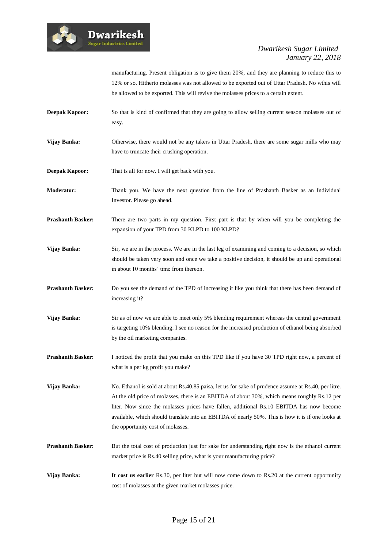

manufacturing. Present obligation is to give them 20%, and they are planning to reduce this to 12% or so. Hitherto molasses was not allowed to be exported out of Uttar Pradesh. No wthis will be allowed to be exported. This will revive the molasses prices to a certain extent.

- **Deepak Kapoor:** So that is kind of confirmed that they are going to allow selling current season molasses out of easy.
- **Vijay Banka:** Otherwise, there would not be any takers in Uttar Pradesh, there are some sugar mills who may have to truncate their crushing operation.

**Deepak Kapoor:** That is all for now. I will get back with you.

**Moderator:** Thank you. We have the next question from the line of Prashanth Basker as an Individual Investor. Please go ahead.

- **Prashanth Basker:** There are two parts in my question. First part is that by when will you be completing the expansion of your TPD from 30 KLPD to 100 KLPD?
- **Vijay Banka:** Sir, we are in the process. We are in the last leg of examining and coming to a decision, so which should be taken very soon and once we take a positive decision, it should be up and operational in about 10 months' time from thereon.
- **Prashanth Basker:** Do you see the demand of the TPD of increasing it like you think that there has been demand of increasing it?
- **Vijay Banka:** Sir as of now we are able to meet only 5% blending requirement whereas the central government is targeting 10% blending. I see no reason for the increased production of ethanol being absorbed by the oil marketing companies.
- **Prashanth Basker:** I noticed the profit that you make on this TPD like if you have 30 TPD right now, a percent of what is a per kg profit you make?
- **Vijay Banka:** No. Ethanol is sold at about Rs.40.85 paisa, let us for sake of prudence assume at Rs.40, per litre. At the old price of molasses, there is an EBITDA of about 30%, which means roughly Rs.12 per liter. Now since the molasses prices have fallen, additional Rs.10 EBITDA has now become available, which should translate into an EBITDA of nearly 50%. This is how it is if one looks at the opportunity cost of molasses.
- **Prashanth Basker:** But the total cost of production just for sake for understanding right now is the ethanol current market price is Rs.40 selling price, what is your manufacturing price?
- **Vijay Banka: It cost us earlier** Rs.30, per liter but will now come down to Rs.20 at the current opportunity cost of molasses at the given market molasses price.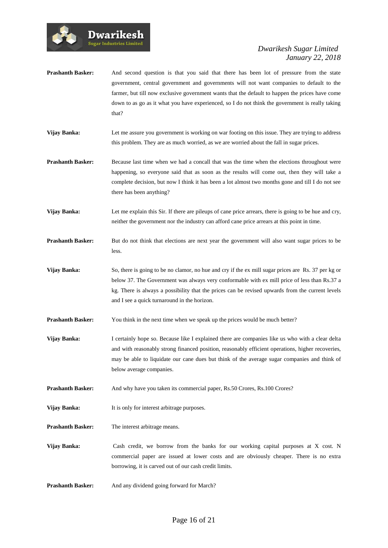

- **Prashanth Basker:** And second question is that you said that there has been lot of pressure from the state government, central government and governments will not want companies to default to the farmer, but till now exclusive government wants that the default to happen the prices have come down to as go as it what you have experienced, so I do not think the government is really taking that?
- **Vijay Banka:** Let me assure you government is working on war footing on this issue. They are trying to address this problem. They are as much worried, as we are worried about the fall in sugar prices.
- **Prashanth Basker:** Because last time when we had a concall that was the time when the elections throughout were happening, so everyone said that as soon as the results will come out, then they will take a complete decision, but now I think it has been a lot almost two months gone and till I do not see there has been anything?

**Vijay Banka:** Let me explain this Sir. If there are pileups of cane price arrears, there is going to be hue and cry, neither the government nor the industry can afford cane price arrears at this point in time.

- **Prashanth Basker:** But do not think that elections are next year the government will also want sugar prices to be less.
- **Vijay Banka:** So, there is going to be no clamor, no hue and cry if the ex mill sugar prices are Rs. 37 per kg or below 37. The Government was always very conformable with ex mill price of less than Rs.37 a kg. There is always a possibility that the prices can be revised upwards from the current levels and I see a quick turnaround in the horizon.
- **Prashanth Basker:** You think in the next time when we speak up the prices would be much better?
- **Vijay Banka:** I certainly hope so. Because like I explained there are companies like us who with a clear delta and with reasonably strong financed position, reasonably efficient operations, higher recoveries, may be able to liquidate our cane dues but think of the average sugar companies and think of below average companies.
- **Prashanth Basker:** And why have you taken its commercial paper, Rs.50 Crores, Rs.100 Crores?
- **Vijay Banka:** It is only for interest arbitrage purposes.
- **Prashanth Basker:** The interest arbitrage means.

**Dwarikesh** .<br>Sugar Industries Limited

- **Vijay Banka:** Cash credit, we borrow from the banks for our working capital purposes at X cost. N commercial paper are issued at lower costs and are obviously cheaper. There is no extra borrowing, it is carved out of our cash credit limits.
- **Prashanth Basker:** And any dividend going forward for March?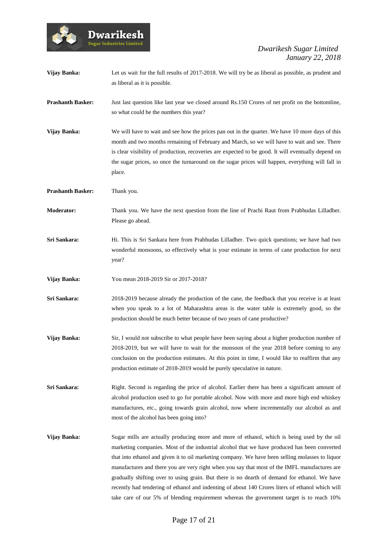

**Vijay Banka:** Let us wait for the full results of 2017-2018. We will try be as liberal as possible, as prudent and as liberal as it is possible.

**Prashanth Basker:** Just last question like last year we closed around Rs.150 Crores of net profit on the bottomline, so what could be the numbers this year?

**Vijay Banka:** We will have to wait and see how the prices pan out in the quarter. We have 10 more days of this month and two months remaining of February and March, so we will have to wait and see. There is clear visibility of production, recoveries are expected to be good. It will eventually depend on the sugar prices, so once the turnaround on the sugar prices will happen, everything will fall in place.

**Prashanth Basker:** Thank you.

**Dwarikesh Sugar Industries Limited** 

**Moderator:** Thank you. We have the next question from the line of Prachi Raut from Prabhudas Lilladher. Please go ahead.

**Sri Sankara:** Hi. This is Sri Sankara here from Prabhudas Lilladher. Two quick questions; we have had two wonderful monsoons, so effectively what is your estimate in terms of cane production for next year?

**Vijay Banka:** You mean 2018-2019 Sir or 2017-2018?

**Sri Sankara:** 2018-2019 because already the production of the cane, the feedback that you receive is at least when you speak to a lot of Maharashtra areas is the water table is extremely good, so the production should be much better because of two years of cane productive?

**Vijay Banka:** Sir, I would not subscribe to what people have been saying about a higher production number of 2018-2019, but we will have to wait for the monsoon of the year 2018 before coming to any conclusion on the production estimates. At this point in time, I would like to reaffirm that any production estimate of 2018-2019 would be purely speculative in nature.

**Sri Sankara:** Right. Second is regarding the price of alcohol. Earlier there has been a significant amount of alcohol production used to go for portable alcohol. Now with more and more high end whiskey manufactures, etc., going towards grain alcohol, now where incrementally our alcohol as and most of the alcohol has been going into?

**Vijay Banka:** Sugar mills are actually producing more and more of ethanol, which is being used by the oil marketing companies. Most of the industrial alcohol that we have produced has been converted that into ethanol and given it to oil marketing company. We have been selling molasses to liquor manufactures and there you are very right when you say that most of the IMFL manufactures are gradually shifting over to using grain. But there is no dearth of demand for ethanol. We have recently had tendering of ethanol and indenting of about 140 Crores liters of ethanol which will take care of our 5% of blending requirement whereas the government target is to reach 10%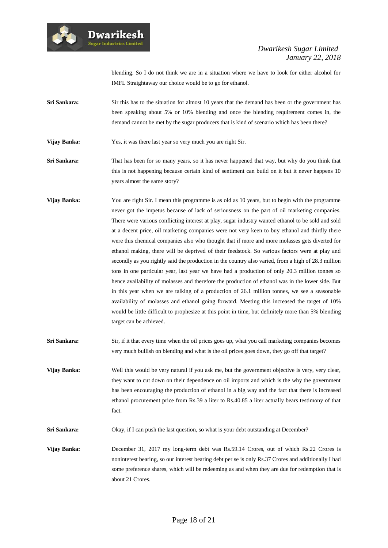

blending. So I do not think we are in a situation where we have to look for either alcohol for IMFL Straightaway our choice would be to go for ethanol.

**Sri Sankara:** Sir this has to the situation for almost 10 years that the demand has been or the government has been speaking about 5% or 10% blending and once the blending requirement comes in, the demand cannot be met by the sugar producers that is kind of scenario which has been there?

**Vijay Banka:** Yes, it was there last year so very much you are right Sir.

**Dwarikesh** .<br>Sugar Industries Limited

**Sri Sankara:** That has been for so many years, so it has never happened that way, but why do you think that this is not happening because certain kind of sentiment can build on it but it never happens 10 years almost the same story?

- **Vijay Banka:** You are right Sir. I mean this programme is as old as 10 years, but to begin with the programme never got the impetus because of lack of seriousness on the part of oil marketing companies. There were various conflicting interest at play, sugar industry wanted ethanol to be sold and sold at a decent price, oil marketing companies were not very keen to buy ethanol and thirdly there were this chemical companies also who thought that if more and more molasses gets diverted for ethanol making, there will be deprived of their feedstock. So various factors were at play and secondly as you rightly said the production in the country also varied, from a high of 28.3 million tons in one particular year, last year we have had a production of only 20.3 million tonnes so hence availability of molasses and therefore the production of ethanol was in the lower side. But in this year when we are talking of a production of 26.1 million tonnes, we see a seasonable availability of molasses and ethanol going forward. Meeting this increased the target of 10% would be little difficult to prophesize at this point in time, but definitely more than 5% blending target can be achieved.
- **Sri Sankara:** Sir, if it that every time when the oil prices goes up, what you call marketing companies becomes very much bullish on blending and what is the oil prices goes down, they go off that target?
- **Vijay Banka:** Well this would be very natural if you ask me, but the government objective is very, very clear, they want to cut down on their dependence on oil imports and which is the why the government has been encouraging the production of ethanol in a big way and the fact that there is increased ethanol procurement price from Rs.39 a liter to Rs.40.85 a liter actually bears testimony of that fact.

**Sri Sankara:** Okay, if I can push the last question, so what is your debt outstanding at December?

**Vijay Banka:** December 31, 2017 my long-term debt was Rs.59.14 Crores, out of which Rs.22 Crores is noninterest bearing, so our interest bearing debt per se is only Rs.37 Crores and additionally I had some preference shares, which will be redeeming as and when they are due for redemption that is about 21 Crores.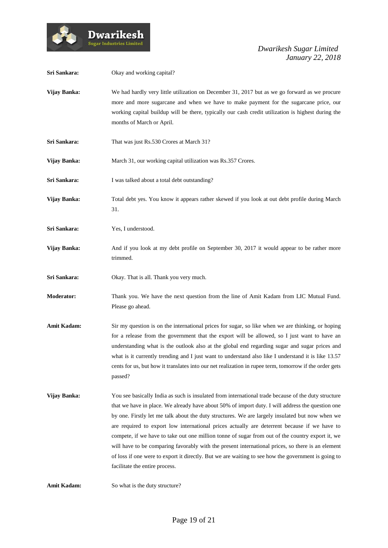

| Sri Sankara:       | Okay and working capital?                                                                                                                                                                                                                                                                                                                                                                                                                                                                                                                                                                                                                                                                                                                                    |
|--------------------|--------------------------------------------------------------------------------------------------------------------------------------------------------------------------------------------------------------------------------------------------------------------------------------------------------------------------------------------------------------------------------------------------------------------------------------------------------------------------------------------------------------------------------------------------------------------------------------------------------------------------------------------------------------------------------------------------------------------------------------------------------------|
| Vijay Banka:       | We had hardly very little utilization on December 31, 2017 but as we go forward as we procure<br>more and more sugarcane and when we have to make payment for the sugarcane price, our<br>working capital buildup will be there, typically our cash credit utilization is highest during the<br>months of March or April.                                                                                                                                                                                                                                                                                                                                                                                                                                    |
| Sri Sankara:       | That was just Rs.530 Crores at March 31?                                                                                                                                                                                                                                                                                                                                                                                                                                                                                                                                                                                                                                                                                                                     |
| Vijay Banka:       | March 31, our working capital utilization was Rs.357 Crores.                                                                                                                                                                                                                                                                                                                                                                                                                                                                                                                                                                                                                                                                                                 |
| Sri Sankara:       | I was talked about a total debt outstanding?                                                                                                                                                                                                                                                                                                                                                                                                                                                                                                                                                                                                                                                                                                                 |
| Vijay Banka:       | Total debt yes. You know it appears rather skewed if you look at out debt profile during March<br>31.                                                                                                                                                                                                                                                                                                                                                                                                                                                                                                                                                                                                                                                        |
| Sri Sankara:       | Yes, I understood.                                                                                                                                                                                                                                                                                                                                                                                                                                                                                                                                                                                                                                                                                                                                           |
| Vijay Banka:       | And if you look at my debt profile on September 30, 2017 it would appear to be rather more<br>trimmed.                                                                                                                                                                                                                                                                                                                                                                                                                                                                                                                                                                                                                                                       |
| Sri Sankara:       | Okay. That is all. Thank you very much.                                                                                                                                                                                                                                                                                                                                                                                                                                                                                                                                                                                                                                                                                                                      |
| <b>Moderator:</b>  | Thank you. We have the next question from the line of Amit Kadam from LIC Mutual Fund.<br>Please go ahead.                                                                                                                                                                                                                                                                                                                                                                                                                                                                                                                                                                                                                                                   |
| <b>Amit Kadam:</b> | Sir my question is on the international prices for sugar, so like when we are thinking, or hoping<br>for a release from the government that the export will be allowed, so I just want to have an<br>understanding what is the outlook also at the global end regarding sugar and sugar prices and<br>what is it currently trending and I just want to understand also like I understand it is like 13.57<br>cents for us, but how it translates into our net realization in rupee term, tomorrow if the order gets<br>passed?                                                                                                                                                                                                                               |
| Vijay Banka:       | You see basically India as such is insulated from international trade because of the duty structure<br>that we have in place. We already have about 50% of import duty. I will address the question one<br>by one. Firstly let me talk about the duty structures. We are largely insulated but now when we<br>are required to export low international prices actually are deterrent because if we have to<br>compete, if we have to take out one million tonne of sugar from out of the country export it, we<br>will have to be comparing favorably with the present international prices, so there is an element<br>of loss if one were to export it directly. But we are waiting to see how the government is going to<br>facilitate the entire process. |
| <b>Amit Kadam:</b> | So what is the duty structure?                                                                                                                                                                                                                                                                                                                                                                                                                                                                                                                                                                                                                                                                                                                               |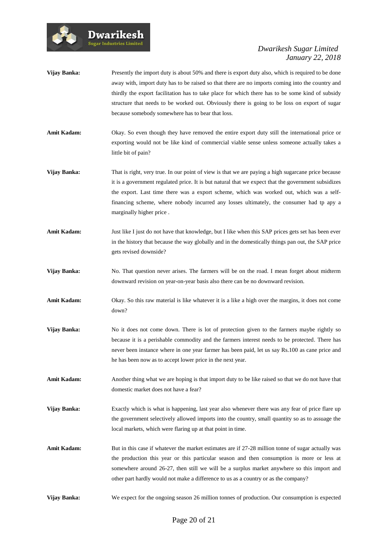

- **Vijay Banka:** Presently the import duty is about 50% and there is export duty also, which is required to be done away with, import duty has to be raised so that there are no imports coming into the country and thirdly the export facilitation has to take place for which there has to be some kind of subsidy structure that needs to be worked out. Obviously there is going to be loss on export of sugar because somebody somewhere has to bear that loss.
- Amit Kadam: Okay. So even though they have removed the entire export duty still the international price or exporting would not be like kind of commercial viable sense unless someone actually takes a little bit of pain?
- **Vijay Banka:** That is right, very true. In our point of view is that we are paying a high sugarcane price because it is a government regulated price. It is but natural that we expect that the government subsidizes the export. Last time there was a export scheme, which was worked out, which was a selffinancing scheme, where nobody incurred any losses ultimately, the consumer had tp apy a marginally higher price .
- **Amit Kadam:** Just like I just do not have that knowledge, but I like when this SAP prices gets set has been ever in the history that because the way globally and in the domestically things pan out, the SAP price gets revised downside?
- **Vijay Banka:** No. That question never arises. The farmers will be on the road. I mean forget about midterm downward revision on year-on-year basis also there can be no downward revision.
- **Amit Kadam:** Okay. So this raw material is like whatever it is a like a high over the margins, it does not come down?
- **Vijay Banka:** No it does not come down. There is lot of protection given to the farmers maybe rightly so because it is a perishable commodity and the farmers interest needs to be protected. There has never been instance where in one year farmer has been paid, let us say Rs.100 as cane price and he has been now as to accept lower price in the next year.
- **Amit Kadam:** Another thing what we are hoping is that import duty to be like raised so that we do not have that domestic market does not have a fear?
- **Vijay Banka:** Exactly which is what is happening, last year also whenever there was any fear of price flare up the government selectively allowed imports into the country, small quantity so as to assuage the local markets, which were flaring up at that point in time.
- Amit Kadam: But in this case if whatever the market estimates are if 27-28 million tonne of sugar actually was the production this year or this particular season and then consumption is more or less at somewhere around 26-27, then still we will be a surplus market anywhere so this import and other part hardly would not make a difference to us as a country or as the company?
- **Vijay Banka:** We expect for the ongoing season 26 million tonnes of production. Our consumption is expected